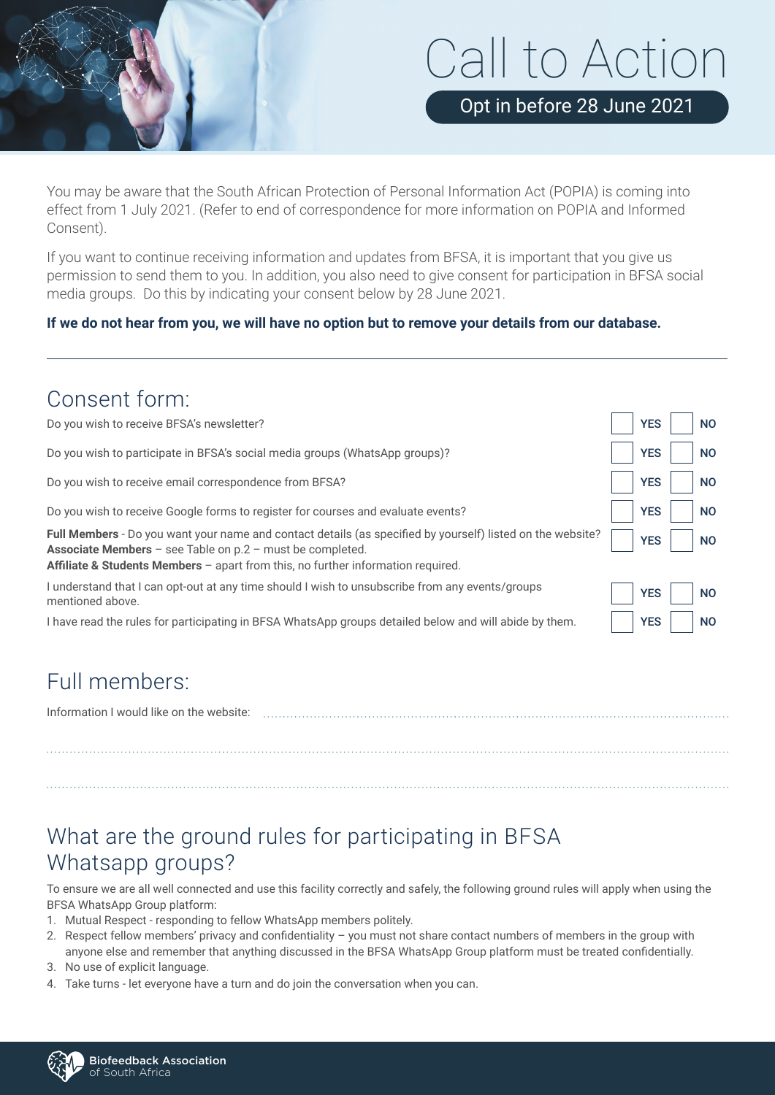# Call to Action

Opt in before 28 June 2021

You may be aware that the South African Protection of Personal Information Act (POPIA) is coming into effect from 1 July 2021. (Refer to end of correspondence for more information on POPIA and Informed Consent).

If you want to continue receiving information and updates from BFSA, it is important that you give us permission to send them to you. In addition, you also need to give consent for participation in BFSA social media groups. Do this by indicating your consent below by 28 June 2021.

#### **If we do not hear from you, we will have no option but to remove your details from our database.**

#### Consent form:

| Do you wish to receive BFSA's newsletter?                                                                                                                                                                                                                              | <b>YES</b> | <b>NO</b> |
|------------------------------------------------------------------------------------------------------------------------------------------------------------------------------------------------------------------------------------------------------------------------|------------|-----------|
| Do you wish to participate in BFSA's social media groups (WhatsApp groups)?                                                                                                                                                                                            | <b>YES</b> | <b>NO</b> |
| Do you wish to receive email correspondence from BFSA?                                                                                                                                                                                                                 | <b>YES</b> | <b>NO</b> |
| Do you wish to receive Google forms to register for courses and evaluate events?                                                                                                                                                                                       | <b>YES</b> | <b>NO</b> |
| Full Members - Do you want your name and contact details (as specified by yourself) listed on the website?<br><b>Associate Members</b> $-$ see Table on $p.2 -$ must be completed.<br>Affiliate & Students Members - apart from this, no further information required. | <b>YES</b> | <b>NO</b> |
| I understand that I can opt-out at any time should I wish to unsubscribe from any events/groups<br>mentioned above.                                                                                                                                                    | <b>YES</b> | <b>NO</b> |
| I have read the rules for participating in BFSA WhatsApp groups detailed below and will abide by them.                                                                                                                                                                 | <b>YES</b> | <b>NO</b> |

### Full members:

| Information I would like on the website: |  |  |
|------------------------------------------|--|--|
|                                          |  |  |
|                                          |  |  |
|                                          |  |  |

## What are the ground rules for participating in BFSA Whatsapp groups?

To ensure we are all well connected and use this facility correctly and safely, the following ground rules will apply when using the BFSA WhatsApp Group platform:

- 1. Mutual Respect responding to fellow WhatsApp members politely.
- 2. Respect fellow members' privacy and confidentiality you must not share contact numbers of members in the group with anyone else and remember that anything discussed in the BFSA WhatsApp Group platform must be treated confidentially.
- 3. No use of explicit language.
- 4. Take turns let everyone have a turn and do join the conversation when you can.